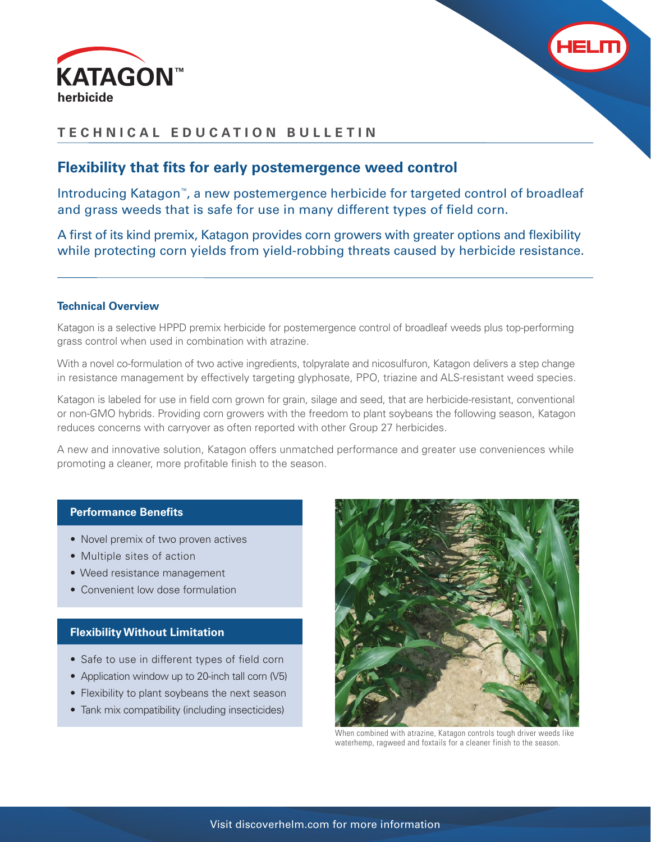



# **TECHNICAL EDUCATION BULLETIN**

# **Flexibility that fits for early postemergence weed control**

Introducing Katagon™, a new postemergence herbicide for targeted control of broadleaf and grass weeds that is safe for use in many different types of field corn.

A first of its kind premix, Katagon provides corn growers with greater options and flexibility while protecting corn yields from yield-robbing threats caused by herbicide resistance.

### **Technical Overview**

Katagon is a selective HPPD premix herbicide for postemergence control of broadleaf weeds plus top-performing grass control when used in combination with atrazine.

With a novel co-formulation of two active ingredients, tolpyralate and nicosulfuron, Katagon delivers a step change in resistance management by effectively targeting glyphosate, PPO, triazine and ALS-resistant weed species.

Katagon is labeled for use in field corn grown for grain, silage and seed, that are herbicide-resistant, conventional or non-GMO hybrids. Providing corn growers with the freedom to plant soybeans the following season, Katagon reduces concerns with carryover as often reported with other Group 27 herbicides.

A new and innovative solution, Katagon offers unmatched performance and greater use conveniences while promoting a cleaner, more profitable finish to the season.

### **Performance Benefits**

- Novel premix of two proven actives
- Multiple sites of action
- Weed resistance management
- Convenient low dose formulation

### **Flexibility Without Limitation**

- Safe to use in different types of field corn
- Application window up to 20-inch tall corn (V5)
- Flexibility to plant soybeans the next season
- Tank mix compatibility (including insecticides)



When combined with atrazine, Katagon controls tough driver weeds like waterhemp, ragweed and foxtails for a cleaner finish to the season.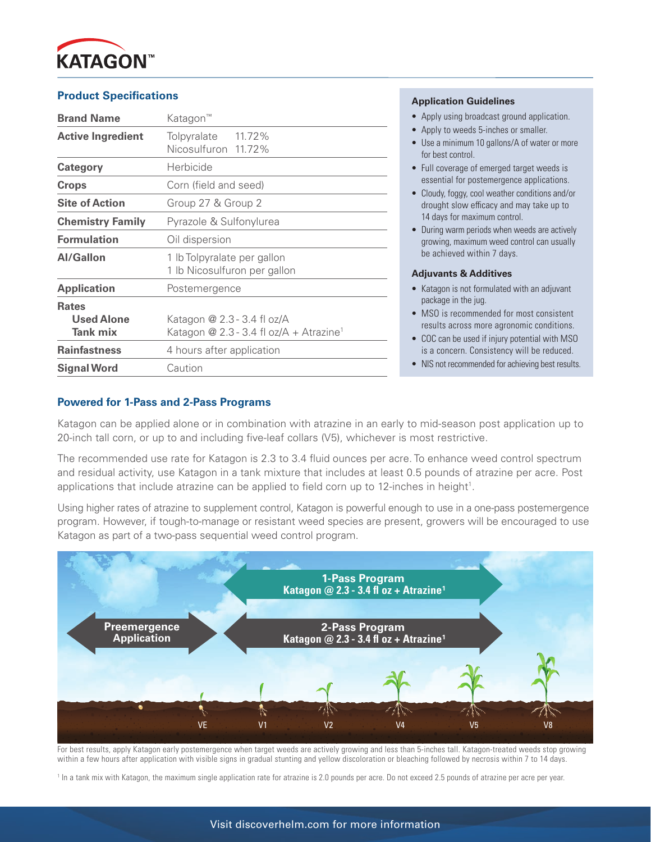

## **Product Specifications**

| <b>Brand Name</b>                                    | Katagon <sup>™</sup>                                                               |  |  |
|------------------------------------------------------|------------------------------------------------------------------------------------|--|--|
| <b>Active Ingredient</b>                             | 11.72%<br>Tolpyralate<br>Nicosulfuron 11.72%                                       |  |  |
| Category                                             | Herbicide                                                                          |  |  |
| <b>Crops</b>                                         | Corn (field and seed)                                                              |  |  |
| <b>Site of Action</b>                                | Group 27 & Group 2                                                                 |  |  |
| <b>Chemistry Family</b>                              | Pyrazole & Sulfonylurea                                                            |  |  |
| <b>Formulation</b>                                   | Oil dispersion                                                                     |  |  |
| <b>Al/Gallon</b>                                     | 1 lb Tolpyralate per gallon<br>1 lb Nicosulfuron per gallon                        |  |  |
| <b>Application</b>                                   | Postemergence                                                                      |  |  |
| <b>Rates</b><br><b>Used Alone</b><br><b>Tank mix</b> | Katagon @ 2.3 - 3.4 fl oz/A<br>Katagon @ 2.3 - 3.4 fl oz/A + Atrazine <sup>1</sup> |  |  |
| <b>Rainfastness</b>                                  | 4 hours after application                                                          |  |  |
| <b>Signal Word</b>                                   | Caution                                                                            |  |  |

#### **Application Guidelines**

- Apply using broadcast ground application.
- Apply to weeds 5-inches or smaller.
- Use a minimum 10 gallons/A of water or more for best control.
- Full coverage of emerged target weeds is essential for postemergence applications.
- Cloudy, foggy, cool weather conditions and/or drought slow efficacy and may take up to 14 days for maximum control.
- During warm periods when weeds are actively growing, maximum weed control can usually be achieved within 7 days.

#### **Adjuvants & Additives**

- Katagon is not formulated with an adjuvant package in the jug.
- MSO is recommended for most consistent results across more agronomic conditions.
- COC can be used if injury potential with MSO is a concern. Consistency will be reduced.
- NIS not recommended for achieving best results.

### **Powered for 1-Pass and 2-Pass Programs**

Katagon can be applied alone or in combination with atrazine in an early to mid-season post application up to 20-inch tall corn, or up to and including five-leaf collars (V5), whichever is most restrictive.

The recommended use rate for Katagon is 2.3 to 3.4 fluid ounces per acre. To enhance weed control spectrum and residual activity, use Katagon in a tank mixture that includes at least 0.5 pounds of atrazine per acre. Post applications that include atrazine can be applied to field corn up to 12-inches in height<sup>1</sup>.

Using higher rates of atrazine to supplement control, Katagon is powerful enough to use in a one-pass postemergence program. However, if tough-to-manage or resistant weed species are present, growers will be encouraged to use Katagon as part of a two-pass sequential weed control program.



For best results, apply Katagon early postemergence when target weeds are actively growing and less than 5-inches tall. Katagon-treated weeds stop growing within a few hours after application with visible signs in gradual stunting and yellow discoloration or bleaching followed by necrosis within 7 to 14 days.

1 In a tank mix with Katagon, the maximum single application rate for atrazine is 2.0 pounds per acre. Do not exceed 2.5 pounds of atrazine per acre per year.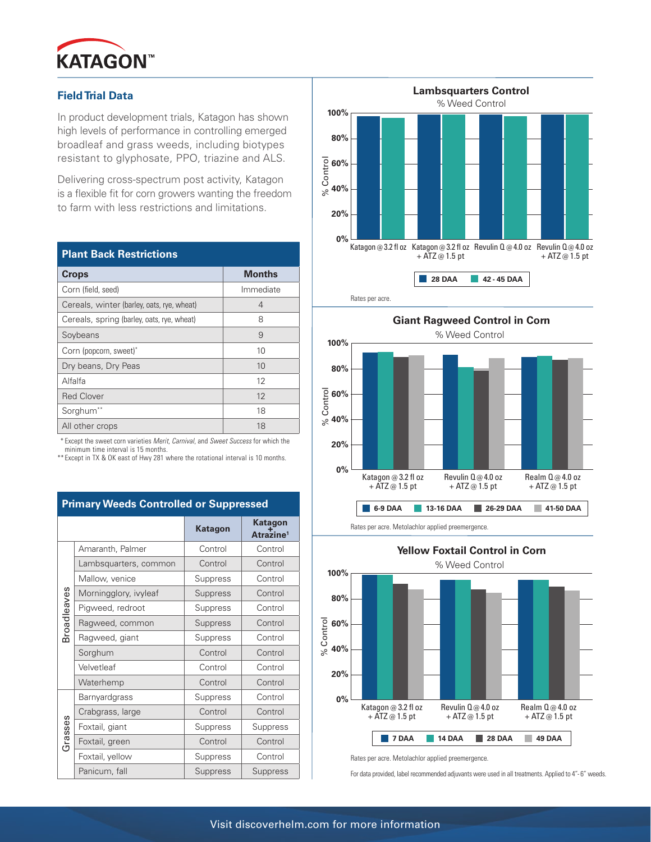

## **Field Trial Data**

In product development trials, Katagon has shown high levels of performance in controlling emerged broadleaf and grass weeds, including biotypes resistant to glyphosate, PPO, triazine and ALS.

Delivering cross-spectrum post activity, Katagon is a flexible fit for corn growers wanting the freedom to farm with less restrictions and limitations.

| <b>Plant Back Restrictions</b>             |               |  |  |  |
|--------------------------------------------|---------------|--|--|--|
| <b>Crops</b>                               | <b>Months</b> |  |  |  |
| Corn (field, seed)                         | Immediate     |  |  |  |
| Cereals, winter (barley, oats, rye, wheat) | 4             |  |  |  |
| Cereals, spring (barley, oats, rye, wheat) | 8             |  |  |  |
| Soybeans                                   | 9             |  |  |  |
| Corn (popcorn, sweet)*                     | 10            |  |  |  |
| Dry beans, Dry Peas                        | 10            |  |  |  |
| Alfalfa                                    | 12            |  |  |  |
| <b>Red Clover</b>                          | 12            |  |  |  |
| Sorghum**                                  | 18            |  |  |  |
| All other crops                            | 18            |  |  |  |

 \* Except the sweet corn varieties Merit, Carnival, and Sweet Success for which the minimum time interval is 15 months.

\*\* Except in TX & OK east of Hwy 281 where the rotational interval is 10 months.

| <b>Tropas Softhonog of Supprossed</b> |                       |                |                                         |  |
|---------------------------------------|-----------------------|----------------|-----------------------------------------|--|
|                                       |                       | <b>Katagon</b> | <b>Katagon</b><br>Atrazine <sup>1</sup> |  |
| <b>Broadleaves</b>                    | Amaranth, Palmer      | Control        | Control                                 |  |
|                                       | Lambsquarters, common | Control        | Control                                 |  |
|                                       | Mallow, venice        | Suppress       | Control                                 |  |
|                                       | Morningglory, ivyleaf | Suppress       | Control                                 |  |
|                                       | Pigweed, redroot      | Suppress       | Control                                 |  |
|                                       | Ragweed, common       | Suppress       | Control                                 |  |
|                                       | Ragweed, giant        | Suppress       | Control                                 |  |
|                                       | Sorghum               | Control        | Control                                 |  |
|                                       | Velvetleaf            | Control        | Control                                 |  |
|                                       | Waterhemp             | Control        | Control                                 |  |
| Grasses                               | <b>Barnyardgrass</b>  | Suppress       | Control                                 |  |
|                                       | Crabgrass, large      | Control        | Control                                 |  |
|                                       | Foxtail, giant        | Suppress       | Suppress                                |  |
|                                       | Foxtail, green        | Control        | Control                                 |  |
|                                       | Foxtail, yellow       | Suppress       | Control                                 |  |
|                                       | Panicum, fall         | Suppress       | Suppress                                |  |





**Giant Ragweed Control in Corn** % Weed Control **100% 80% 60% 40% 20% 0%** Katagon @ 3.2 fl oz  $+$  ATZ  $\omega$  1.5 pt Revulin Q @ 4.0 oz + ATZ @ 1.5 pt % Control Realm Q@4.0 oz + ATZ @ 1.5 pt **Primary Weeds Controlled or Suppressed <br>
<b>Example 5-9 DAA** 13-16 DAA 26-29 DAA 41-50 DAA

Rates per acre. Metolachlor applied preemergence.



Rates per acre. Metolachlor applied preemergence.

For data provided, label recommended adjuvants were used in all treatments. Applied to 4"-6" weeds.